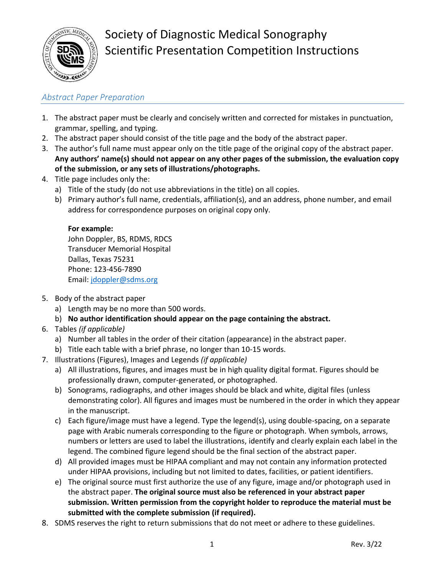

# Society of Diagnostic Medical Sonography Scientific Presentation Competition Instructions

## *Abstract Paper Preparation*

- 1. The abstract paper must be clearly and concisely written and corrected for mistakes in punctuation, grammar, spelling, and typing.
- 2. The abstract paper should consist of the title page and the body of the abstract paper.
- 3. The author's full name must appear only on the title page of the original copy of the abstract paper. **Any authors' name(s) should not appear on any other pages of the submission, the evaluation copy of the submission, or any sets of illustrations/photographs.**
- 4. Title page includes only the:
	- a) Title of the study (do not use abbreviations in the title) on all copies.
	- b) Primary author's full name, credentials, affiliation(s), and an address, phone number, and email address for correspondence purposes on original copy only.

#### **For example:**

John Doppler, BS, RDMS, RDCS Transducer Memorial Hospital Dallas, Texas 75231 Phone: 123‐456‐7890 Email: [jdoppler@sdms.org](mailto:jdoppler@sdms.org)

- 5. Body of the abstract paper
	- a) Length may be no more than 500 words.
	- b) **No author identification should appear on the page containing the abstract.**
- 6. Tables *(if applicable)*
	- a) Number all tables in the order of their citation (appearance) in the abstract paper.
	- b) Title each table with a brief phrase, no longer than 10‐15 words.
- 7. Illustrations (Figures), Images and Legends *(if applicable)*
	- a) All illustrations, figures, and images must be in high quality digital format. Figures should be professionally drawn, computer-generated, or photographed.
	- b) Sonograms, radiographs, and other images should be black and white, digital files (unless demonstrating color). All figures and images must be numbered in the order in which they appear in the manuscript.
	- c) Each figure/image must have a legend. Type the legend(s), using double-spacing, on a separate page with Arabic numerals corresponding to the figure or photograph. When symbols, arrows, numbers or letters are used to label the illustrations, identify and clearly explain each label in the legend. The combined figure legend should be the final section of the abstract paper.
	- d) All provided images must be HIPAA compliant and may not contain any information protected under HIPAA provisions, including but not limited to dates, facilities, or patient identifiers.
	- e) The original source must first authorize the use of any figure, image and/or photograph used in the abstract paper. **The original source must also be referenced in your abstract paper submission. Written permission from the copyright holder to reproduce the material must be submitted with the complete submission (if required).**
- 8. SDMS reserves the right to return submissions that do not meet or adhere to these guidelines.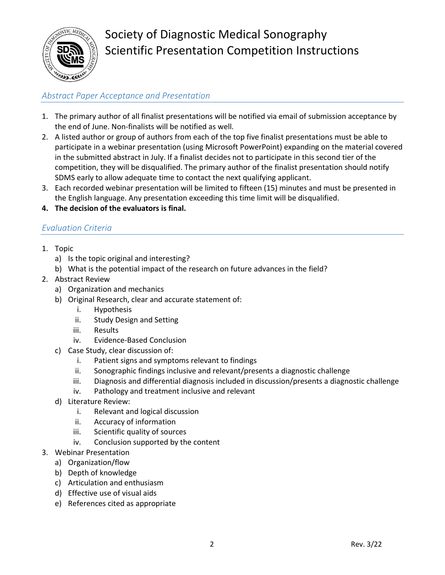

# Society of Diagnostic Medical Sonography Scientific Presentation Competition Instructions

### *Abstract Paper Acceptance and Presentation*

- 1. The primary author of all finalist presentations will be notified via email of submission acceptance by the end of June. Non‐finalists will be notified as well.
- 2. A listed author or group of authors from each of the top five finalist presentations must be able to participate in a webinar presentation (using Microsoft PowerPoint) expanding on the material covered in the submitted abstract in July. If a finalist decides not to participate in this second tier of the competition, they will be disqualified. The primary author of the finalist presentation should notify SDMS early to allow adequate time to contact the next qualifying applicant.
- 3. Each recorded webinar presentation will be limited to fifteen (15) minutes and must be presented in the English language. Any presentation exceeding this time limit will be disqualified.
- **4. The decision of the evaluators is final.**

#### *Evaluation Criteria*

- 1. Topic
	- a) Is the topic original and interesting?
	- b) What is the potential impact of the research on future advances in the field?
- 2. Abstract Review
	- a) Organization and mechanics
	- b) Original Research, clear and accurate statement of:
		- i. Hypothesis
		- ii. Study Design and Setting
		- iii. Results
		- iv. Evidence-Based Conclusion
	- c) Case Study, clear discussion of:
		- i. Patient signs and symptoms relevant to findings
		- ii. Sonographic findings inclusive and relevant/presents a diagnostic challenge
		- iii. Diagnosis and differential diagnosis included in discussion/presents a diagnostic challenge
		- iv. Pathology and treatment inclusive and relevant
	- d) Literature Review:
		- i. Relevant and logical discussion
		- ii. Accuracy of information
		- iii. Scientific quality of sources
		- iv. Conclusion supported by the content
- 3. Webinar Presentation
	- a) Organization/flow
	- b) Depth of knowledge
	- c) Articulation and enthusiasm
	- d) Effective use of visual aids
	- e) References cited as appropriate